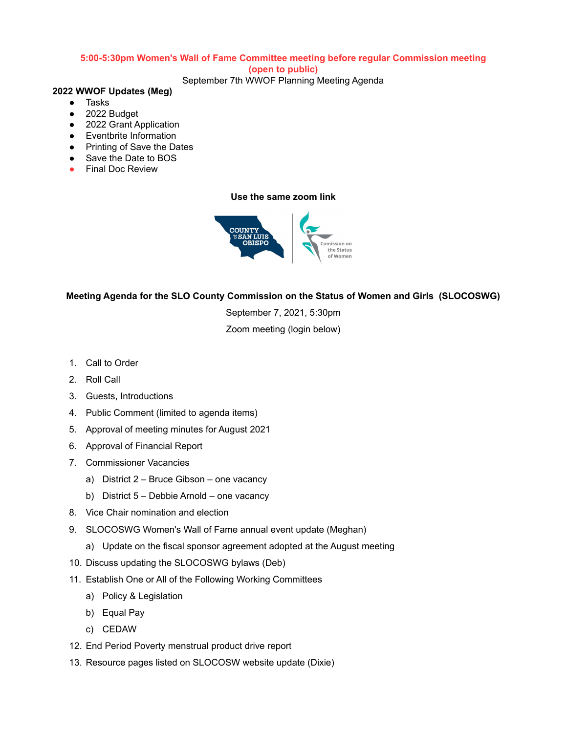## **5:00-5:30pm Women's Wall of Fame Committee meeting before regular Commission meeting**

#### **(open to public)**

September 7th WWOF Planning Meeting Agenda

## **2022 WWOF Updates (Meg)**

- Tasks
- 2022 Budget
- 2022 Grant Application
- Eventbrite Information
- Printing of Save the Dates
- Save the Date to BOS
- **●** Final Doc Review

### **Use the same zoom link**



# **Meeting Agenda for the SLO County Commission on the Status of Women and Girls (SLOCOSWG)**

September 7, 2021, 5:30pm

Zoom meeting (login below)

- 1. Call to Order
- 2. Roll Call
- 3. Guests, Introductions
- 4. Public Comment (limited to agenda items)
- 5. Approval of meeting minutes for August 2021
- 6. Approval of Financial Report
- 7. Commissioner Vacancies
	- a) District 2 Bruce Gibson one vacancy
	- b) District 5 Debbie Arnold one vacancy
- 8. Vice Chair nomination and election
- 9. SLOCOSWG Women's Wall of Fame annual event update (Meghan)
	- a) Update on the fiscal sponsor agreement adopted at the August meeting
- 10. Discuss updating the SLOCOSWG bylaws (Deb)
- 11. Establish One or All of the Following Working Committees
	- a) Policy & Legislation
	- b) Equal Pay
	- c) CEDAW
- 12. End Period Poverty menstrual product drive report
- 13. Resource pages listed on SLOCOSW website update (Dixie)